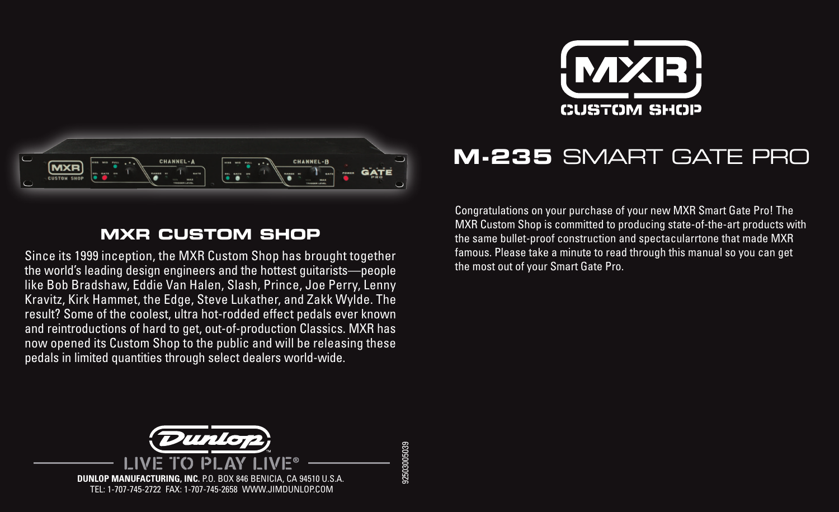



## **MXR CUSTOM SHOP**

Since its 1999 inception, the MXR Custom Shop has brought together the world's leading design engineers and the hottest guitarists—people like Bob Bradshaw, Eddie Van Halen, Slash, Prince, Joe Perry, Lenny Kravitz, Kirk Hammet, the Edge, Steve Lukather, and Zakk Wylde. The result? Some of the coolest, ultra hot-rodded effect pedals ever known and reintroductions of hard to get, out-of-production Classics. MXR has now opened its Custom Shop to the public and will be releasing these pedals in limited quantities through select dealers world-wide.

**M-235** SMART GATE PRO

Congratulations on your purchase of your new MXR Smart Gate Pro! The MXR Custom Shop is committed to producing state-of-the-art products with the same bullet-proof construction and spectacularrtone that made MXR famous. Please take a minute to read through this manual so you can get the most out of your Smart Gate Pro.